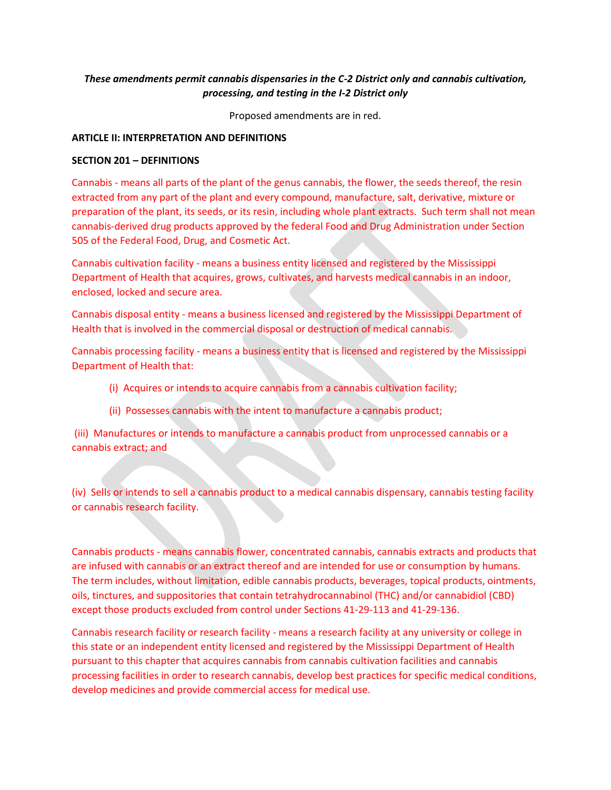# *These amendments permit cannabis dispensaries in the C-2 District only and cannabis cultivation, processing, and testing in the I-2 District only*

Proposed amendments are in red.

#### **ARTICLE II: INTERPRETATION AND DEFINITIONS**

#### **SECTION 201 – DEFINITIONS**

Cannabis - means all parts of the plant of the genus cannabis, the flower, the seeds thereof, the resin extracted from any part of the plant and every compound, manufacture, salt, derivative, mixture or preparation of the plant, its seeds, or its resin, including whole plant extracts. Such term shall not mean cannabis-derived drug products approved by the federal Food and Drug Administration under Section 505 of the Federal Food, Drug, and Cosmetic Act.

Cannabis cultivation facility - means a business entity licensed and registered by the Mississippi Department of Health that acquires, grows, cultivates, and harvests medical cannabis in an indoor, enclosed, locked and secure area.

Cannabis disposal entity - means a business licensed and registered by the Mississippi Department of Health that is involved in the commercial disposal or destruction of medical cannabis.

Cannabis processing facility - means a business entity that is licensed and registered by the Mississippi Department of Health that:

- (i) Acquires or intends to acquire cannabis from a cannabis cultivation facility;
- (ii) Possesses cannabis with the intent to manufacture a cannabis product;

(iii) Manufactures or intends to manufacture a cannabis product from unprocessed cannabis or a cannabis extract; and

(iv) Sells or intends to sell a cannabis product to a medical cannabis dispensary, cannabis testing facility or cannabis research facility.

Cannabis products - means cannabis flower, concentrated cannabis, cannabis extracts and products that are infused with cannabis or an extract thereof and are intended for use or consumption by humans. The term includes, without limitation, edible cannabis products, beverages, topical products, ointments, oils, tinctures, and suppositories that contain tetrahydrocannabinol (THC) and/or cannabidiol (CBD) except those products excluded from control under Sections 41-29-113 and 41-29-136.

Cannabis research facility or research facility - means a research facility at any university or college in this state or an independent entity licensed and registered by the Mississippi Department of Health pursuant to this chapter that acquires cannabis from cannabis cultivation facilities and cannabis processing facilities in order to research cannabis, develop best practices for specific medical conditions, develop medicines and provide commercial access for medical use.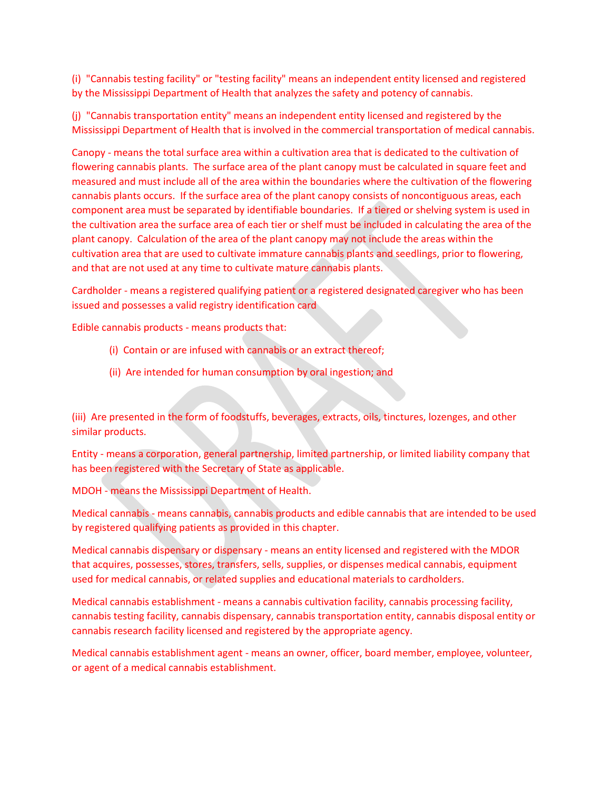(i) "Cannabis testing facility" or "testing facility" means an independent entity licensed and registered by the Mississippi Department of Health that analyzes the safety and potency of cannabis.

(j) "Cannabis transportation entity" means an independent entity licensed and registered by the Mississippi Department of Health that is involved in the commercial transportation of medical cannabis.

Canopy - means the total surface area within a cultivation area that is dedicated to the cultivation of flowering cannabis plants. The surface area of the plant canopy must be calculated in square feet and measured and must include all of the area within the boundaries where the cultivation of the flowering cannabis plants occurs. If the surface area of the plant canopy consists of noncontiguous areas, each component area must be separated by identifiable boundaries. If a tiered or shelving system is used in the cultivation area the surface area of each tier or shelf must be included in calculating the area of the plant canopy. Calculation of the area of the plant canopy may not include the areas within the cultivation area that are used to cultivate immature cannabis plants and seedlings, prior to flowering, and that are not used at any time to cultivate mature cannabis plants.

Cardholder - means a registered qualifying patient or a registered designated caregiver who has been issued and possesses a valid registry identification card

Edible cannabis products - means products that:

- (i) Contain or are infused with cannabis or an extract thereof;
- (ii) Are intended for human consumption by oral ingestion; and

(iii) Are presented in the form of foodstuffs, beverages, extracts, oils, tinctures, lozenges, and other similar products.

Entity - means a corporation, general partnership, limited partnership, or limited liability company that has been registered with the Secretary of State as applicable.

MDOH - means the Mississippi Department of Health.

Medical cannabis - means cannabis, cannabis products and edible cannabis that are intended to be used by registered qualifying patients as provided in this chapter.

Medical cannabis dispensary or dispensary - means an entity licensed and registered with the MDOR that acquires, possesses, stores, transfers, sells, supplies, or dispenses medical cannabis, equipment used for medical cannabis, or related supplies and educational materials to cardholders.

Medical cannabis establishment - means a cannabis cultivation facility, cannabis processing facility, cannabis testing facility, cannabis dispensary, cannabis transportation entity, cannabis disposal entity or cannabis research facility licensed and registered by the appropriate agency.

Medical cannabis establishment agent - means an owner, officer, board member, employee, volunteer, or agent of a medical cannabis establishment.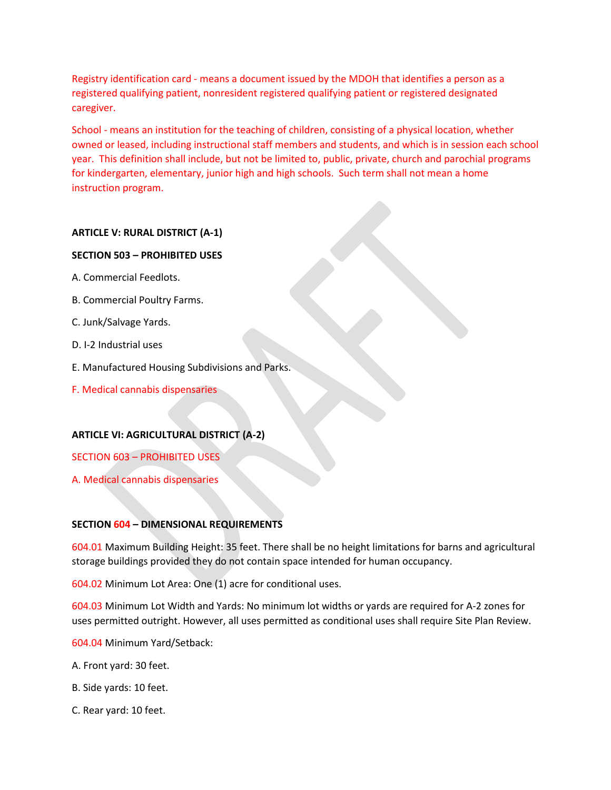Registry identification card - means a document issued by the MDOH that identifies a person as a registered qualifying patient, nonresident registered qualifying patient or registered designated caregiver.

School - means an institution for the teaching of children, consisting of a physical location, whether owned or leased, including instructional staff members and students, and which is in session each school year. This definition shall include, but not be limited to, public, private, church and parochial programs for kindergarten, elementary, junior high and high schools. Such term shall not mean a home instruction program.

# **ARTICLE V: RURAL DISTRICT (A-1)**

### **SECTION 503 – PROHIBITED USES**

- A. Commercial Feedlots.
- B. Commercial Poultry Farms.
- C. Junk/Salvage Yards.
- D. I-2 Industrial uses
- E. Manufactured Housing Subdivisions and Parks.
- F. Medical cannabis dispensaries

# **ARTICLE VI: AGRICULTURAL DISTRICT (A-2)**

SECTION 603 – PROHIBITED USES

A. Medical cannabis dispensaries

# **SECTION 604 – DIMENSIONAL REQUIREMENTS**

604.01 Maximum Building Height: 35 feet. There shall be no height limitations for barns and agricultural storage buildings provided they do not contain space intended for human occupancy.

604.02 Minimum Lot Area: One (1) acre for conditional uses.

604.03 Minimum Lot Width and Yards: No minimum lot widths or yards are required for A-2 zones for uses permitted outright. However, all uses permitted as conditional uses shall require Site Plan Review.

604.04 Minimum Yard/Setback:

- A. Front yard: 30 feet.
- B. Side yards: 10 feet.
- C. Rear yard: 10 feet.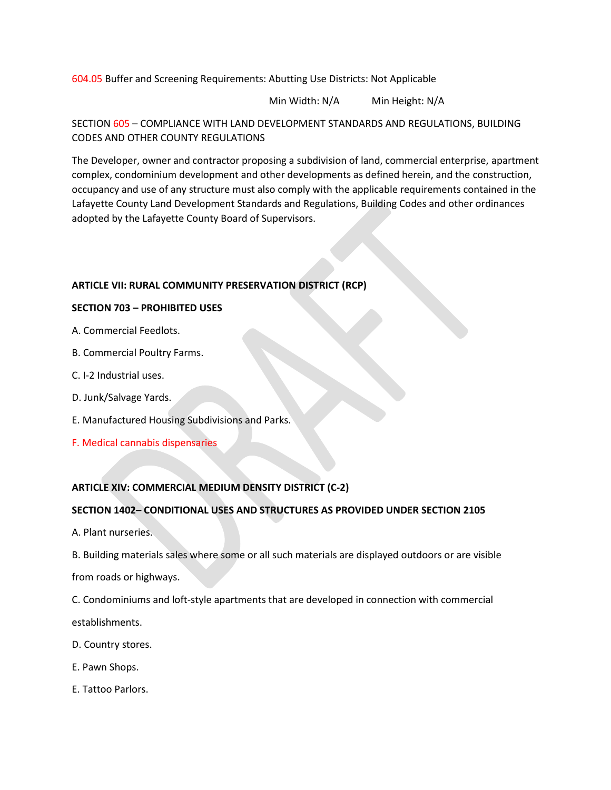604.05 Buffer and Screening Requirements: Abutting Use Districts: Not Applicable

Min Width: N/A Min Height: N/A

## SECTION 605 – COMPLIANCE WITH LAND DEVELOPMENT STANDARDS AND REGULATIONS, BUILDING CODES AND OTHER COUNTY REGULATIONS

The Developer, owner and contractor proposing a subdivision of land, commercial enterprise, apartment complex, condominium development and other developments as defined herein, and the construction, occupancy and use of any structure must also comply with the applicable requirements contained in the Lafayette County Land Development Standards and Regulations, Building Codes and other ordinances adopted by the Lafayette County Board of Supervisors.

# **ARTICLE VII: RURAL COMMUNITY PRESERVATION DISTRICT (RCP)**

#### **SECTION 703 – PROHIBITED USES**

- A. Commercial Feedlots.
- B. Commercial Poultry Farms.
- C. I-2 Industrial uses.
- D. Junk/Salvage Yards.
- E. Manufactured Housing Subdivisions and Parks.
- F. Medical cannabis dispensaries

### **ARTICLE XIV: COMMERCIAL MEDIUM DENSITY DISTRICT (C-2)**

### **SECTION 1402– CONDITIONAL USES AND STRUCTURES AS PROVIDED UNDER SECTION 2105**

A. Plant nurseries.

B. Building materials sales where some or all such materials are displayed outdoors or are visible

from roads or highways.

C. Condominiums and loft-style apartments that are developed in connection with commercial establishments.

- D. Country stores.
- E. Pawn Shops.
- E. Tattoo Parlors.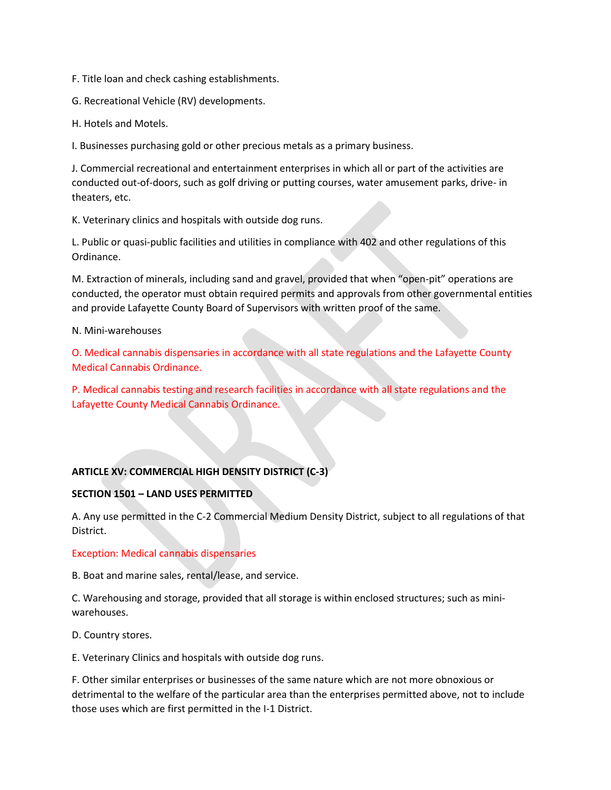F. Title loan and check cashing establishments.

G. Recreational Vehicle (RV) developments.

H. Hotels and Motels.

I. Businesses purchasing gold or other precious metals as a primary business.

J. Commercial recreational and entertainment enterprises in which all or part of the activities are conducted out-of-doors, such as golf driving or putting courses, water amusement parks, drive- in theaters, etc.

K. Veterinary clinics and hospitals with outside dog runs.

L. Public or quasi-public facilities and utilities in compliance with 402 and other regulations of this Ordinance.

M. Extraction of minerals, including sand and gravel, provided that when "open-pit" operations are conducted, the operator must obtain required permits and approvals from other governmental entities and provide Lafayette County Board of Supervisors with written proof of the same.

N. Mini-warehouses

O. Medical cannabis dispensaries in accordance with all state regulations and the Lafayette County Medical Cannabis Ordinance.

P. Medical cannabis testing and research facilities in accordance with all state regulations and the Lafayette County Medical Cannabis Ordinance.

### **ARTICLE XV: COMMERCIAL HIGH DENSITY DISTRICT (C-3)**

#### **SECTION 1501 – LAND USES PERMITTED**

A. Any use permitted in the C-2 Commercial Medium Density District, subject to all regulations of that District.

#### Exception: Medical cannabis dispensaries

B. Boat and marine sales, rental/lease, and service.

C. Warehousing and storage, provided that all storage is within enclosed structures; such as miniwarehouses.

D. Country stores.

E. Veterinary Clinics and hospitals with outside dog runs.

F. Other similar enterprises or businesses of the same nature which are not more obnoxious or detrimental to the welfare of the particular area than the enterprises permitted above, not to include those uses which are first permitted in the I-1 District.